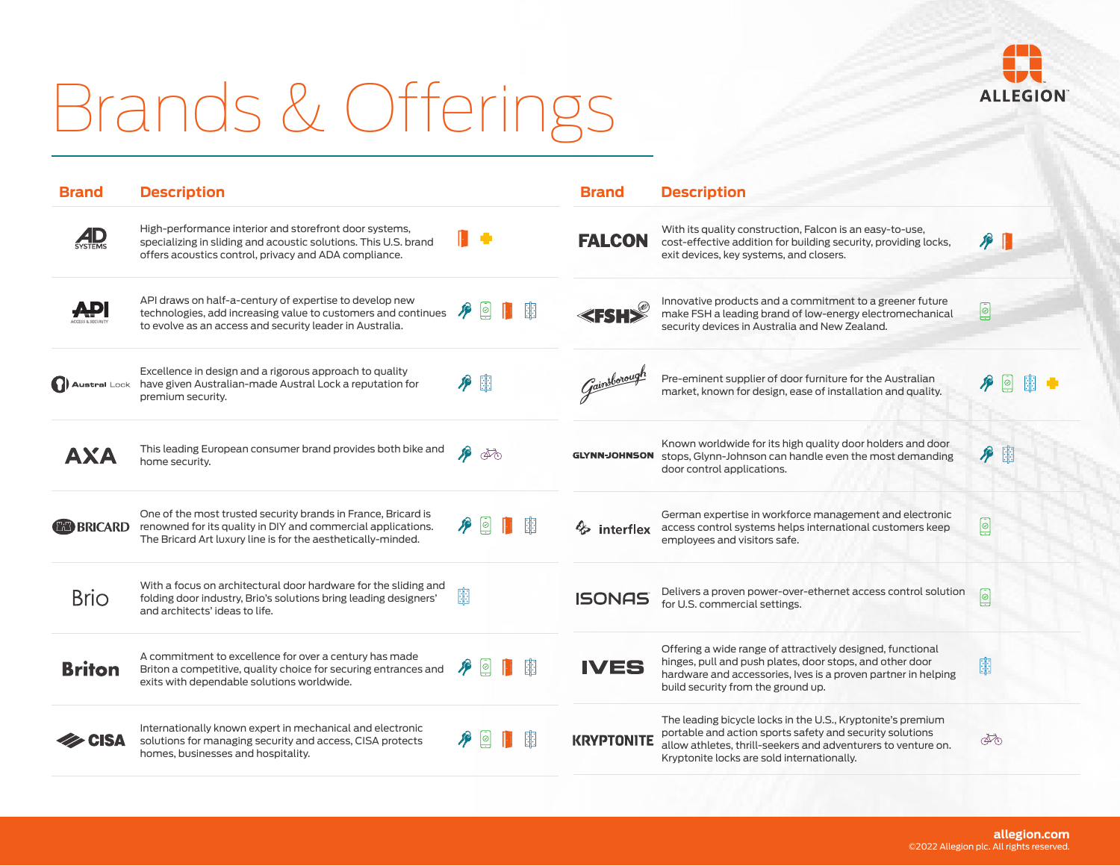## Brands & Offerings



| <b>Brand</b>          | <b>Description</b>                                                                                                                                                                            |               |    |   | <b>Brand</b>              | <b>Description</b>                                                                                                                                                                                                                     |                         |   |  |
|-----------------------|-----------------------------------------------------------------------------------------------------------------------------------------------------------------------------------------------|---------------|----|---|---------------------------|----------------------------------------------------------------------------------------------------------------------------------------------------------------------------------------------------------------------------------------|-------------------------|---|--|
|                       | High-performance interior and storefront door systems,<br>specializing in sliding and acoustic solutions. This U.S. brand<br>offers acoustics control, privacy and ADA compliance.            |               |    |   | <b>FALCON</b>             | With its quality construction, Falcon is an easy-to-use,<br>cost-effective addition for building security, providing locks,<br>exit devices, key systems, and closers.                                                                 | $\mathcal{P}$           |   |  |
|                       | API draws on half-a-century of expertise to develop new<br>technologies, add increasing value to customers and continues<br>to evolve as an access and security leader in Australia.          | ⊵             |    | 關 | 3 K K                     | Innovative products and a commitment to a greener future<br>make FSH a leading brand of low-energy electromechanical<br>security devices in Australia and New Zealand.                                                                 | ▣                       |   |  |
| <b>D</b> Austral Lock | Excellence in design and a rigorous approach to quality<br>have given Australian-made Austral Lock a reputation for<br>premium security.                                                      | ♪ 图           |    |   | Gainsborough              | Pre-eminent supplier of door furniture for the Australian<br>market, known for design, ease of installation and quality.                                                                                                               |                         |   |  |
| AXA                   | This leading European consumer brand provides both bike and<br>home security.                                                                                                                 | J             | কৌ |   | <b>GLYNN-JOHNSON</b>      | Known worldwide for its high quality door holders and door<br>stops, Glynn-Johnson can handle even the most demanding<br>door control applications.                                                                                    | P                       | 圍 |  |
| <b>EED BRICARD</b>    | One of the most trusted security brands in France, Bricard is<br>renowned for its quality in DIY and commercial applications.<br>The Bricard Art luxury line is for the aesthetically-minded. | $\mathcal{L}$ |    | 胭 | <b><i>S</i></b> interflex | German expertise in workforce management and electronic<br>access control systems helps international customers keep<br>employees and visitors safe.                                                                                   | Ø                       |   |  |
| <b>Brio</b>           | With a focus on architectural door hardware for the sliding and<br>folding door industry, Brio's solutions bring leading designers'<br>and architects' ideas to life.                         | 瞷             |    |   | <b>ISONAS</b>             | Delivers a proven power-over-ethernet access control solution<br>for U.S. commercial settings.                                                                                                                                         | ▣                       |   |  |
| <b>Briton</b>         | A commitment to excellence for over a century has made<br>Briton a competitive, quality choice for securing entrances and<br>exits with dependable solutions worldwide.                       | ⊗             |    | 胭 | <b>IVES</b>               | Offering a wide range of attractively designed, functional<br>hinges, pull and push plates, door stops, and other door<br>hardware and accessories, Ives is a proven partner in helping<br>build security from the ground up.          | 睏                       |   |  |
| <b>CISA</b>           | Internationally known expert in mechanical and electronic<br>solutions for managing security and access, CISA protects<br>homes, businesses and hospitality.                                  |               |    | 躙 | <b>KRYPTONITE</b>         | The leading bicycle locks in the U.S., Kryptonite's premium<br>portable and action sports safety and security solutions<br>allow athletes, thrill-seekers and adventurers to venture on.<br>Kryptonite locks are sold internationally. | $\overline{\mathbb{A}}$ |   |  |